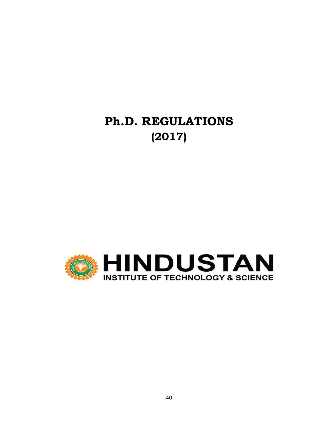# **Ph.D. REGULATIONS (2017)**

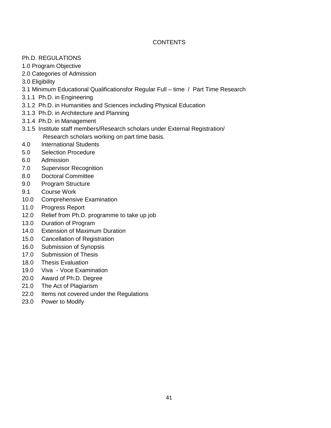# **CONTENTS**

- Ph.D. REGULATIONS
- 1.0 Program Objective
- 2.0 Categories of Admission
- 3.0 Eligibility
- 3.1 Minimum Educational Qualificationsfor Regular Full time / Part Time Research
- 3.1.1 Ph.D. in Engineering
- 3.1.2 Ph.D. in Humanities and Sciences including Physical Education
- 3.1.3 Ph.D. in Architecture and Planning
- 3.1.4 Ph.D. in Management
- 3.1.5 Institute staff members/Research scholars under External Registration/ Research scholars working on part time basis.
- 4.0 International Students
- 5.0 Selection Procedure
- 6.0 Admission
- 7.0 Supervisor Recognition
- 8.0 Doctoral Committee
- 9.0 Program Structure
- 9.1 Course Work
- 10.0 Comprehensive Examination
- 11.0 Progress Report
- 12.0 Relief from Ph.D. programme to take up job
- 13.0 Duration of Program
- 14.0 Extension of Maximum Duration
- 15.0 Cancellation of Registration
- 16.0 Submission of Synopsis
- 17.0 Submission of Thesis
- 18.0 Thesis Evaluation
- 19.0 Viva Voce Examination
- 20.0 Award of Ph.D. Degree
- 21.0 The Act of Plagiarism
- 22.0 Items not covered under the Regulations
- 23.0 Power to Modify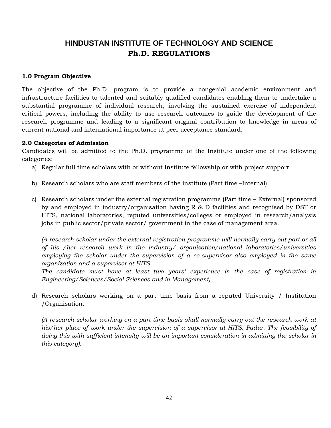# **HINDUSTAN INSTITUTE OF TECHNOLOGY AND SCIENCE Ph.D. REGULATIONS**

#### **1.0 Program Objective**

The objective of the Ph.D. program is to provide a congenial academic environment and infrastructure facilities to talented and suitably qualified candidates enabling them to undertake a substantial programme of individual research, involving the sustained exercise of independent critical powers, including the ability to use research outcomes to guide the development of the research programme and leading to a significant original contribution to knowledge in areas of current national and international importance at peer acceptance standard.

#### **2.0 Categories of Admission**

Candidates will be admitted to the Ph.D. programme of the Institute under one of the following categories:

- a) Regular full time scholars with or without Institute fellowship or with project support.
- b) Research scholars who are staff members of the institute (Part time –Internal).
- c) Research scholars under the external registration programme (Part time External) sponsored by and employed in industry/organisation having R & D facilities and recognised by DST or HITS, national laboratories, reputed universities/colleges or employed in research/analysis jobs in public sector/private sector/ government in the case of management area.

*(A research scholar under the external registration programme will normally carry out part or all of his /her research work in the industry/ organization/national laboratories/universities employing the scholar under the supervision of a co-supervisor also employed in the same organization and a supervisor at HITS.* 

The candidate must have at least two years' experience in the case of registration in *Engineering/Sciences/Social Sciences and in Management).* 

d) Research scholars working on a part time basis from a reputed University / Institution /Organisation.

*(A research scholar working on a part time basis shall normally carry out the research work at*  his/her place of work under the supervision of a supervisor at HITS, Padur. The feasibility of *doing this with sufficient intensity will be an important consideration in admitting the scholar in this category).*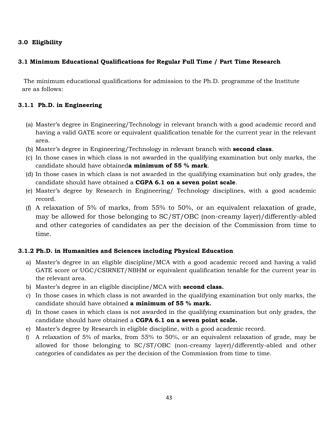# **3.0 Eligibility**

#### **3.1 Minimum Educational Qualifications for Regular Full Time / Part Time Research**

The minimum educational qualifications for admission to the Ph.D. programme of the Institute are as follows:

#### **3.1.1 Ph.D. in Engineering**

- (a) Master's degree in Engineering/Technology in relevant branch with a good academic record and having a valid GATE score or equivalent qualification tenable for the current year in the relevant area.
- (b) Master's degree in Engineering/Technology in relevant branch with **second class**.
- (c) In those cases in which class is not awarded in the qualifying examination but only marks, the candidate should have obtained**a minimum of 55 % mark**.
- (d) In those cases in which class is not awarded in the qualifying examination but only grades, the candidate should have obtained a **CGPA 6.1 on a seven point scale**.
- (e) Master's degree by Research in Engineering/ Technology disciplines, with a good academic record.
- (f) A relaxation of 5% of marks, from 55% to 50%, or an equivalent relaxation of grade, may be allowed for those belonging to SC/ST/OBC (non-creamy layer)/differently-abled and other categories of candidates as per the decision of the Commission from time to time.

# **3.1.2 Ph.D. in Humanities and Sciences including Physical Education**

- a) Master's degree in an eligible discipline/MCA with a good academic record and having a valid GATE score or UGC/CSIRNET/NBHM or equivalent qualification tenable for the current year in the relevant area.
- b) Master's degree in an eligible discipline/MCA with **second class.**
- c) In those cases in which class is not awarded in the qualifying examination but only marks, the candidate should have obtained **a minimum of 55 % mark.**
- d) In those cases in which class is not awarded in the qualifying examination but only grades, the candidate should have obtained a **CGPA 6.1 on a seven point scale.**
- e) Master's degree by Research in eligible discipline, with a good academic record.
- f) A relaxation of 5% of marks, from 55% to 50%, or an equivalent relaxation of grade, may be allowed for those belonging to SC/ST/OBC (non-creamy layer)/differently-abled and other categories of candidates as per the decision of the Commission from time to time.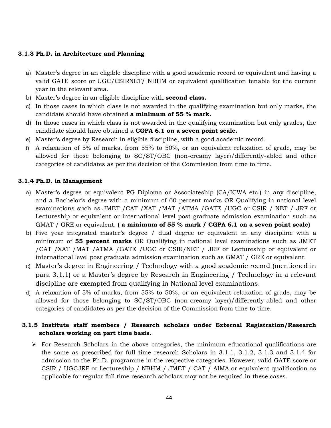#### **3.1.3 Ph.D. in Architecture and Planning**

- a) Master's degree in an eligible discipline with a good academic record or equivalent and having a valid GATE score or UGC/CSIRNET/ NBHM or equivalent qualification tenable for the current year in the relevant area.
- b) Master's degree in an eligible discipline with **second class.**
- c) In those cases in which class is not awarded in the qualifying examination but only marks, the candidate should have obtained **a minimum of 55 % mark.**
- d) In those cases in which class is not awarded in the qualifying examination but only grades, the candidate should have obtained a **CGPA 6.1 on a seven point scale.**
- e) Master's degree by Research in eligible discipline, with a good academic record.
- f) A relaxation of 5% of marks, from 55% to 50%, or an equivalent relaxation of grade, may be allowed for those belonging to SC/ST/OBC (non-creamy layer)/differently-abled and other categories of candidates as per the decision of the Commission from time to time.

#### **3.1.4 Ph.D. in Management**

- a) Master's degree or equivalent PG Diploma or Associateship (CA/ICWA etc.) in any discipline, and a Bachelor's degree with a minimum of 60 percent marks OR Qualifying in national level examinations such as JMET /CAT /XAT /MAT /ATMA /GATE /UGC or CSIR / NET / JRF or Lectureship or equivalent or international level post graduate admission examination such as GMAT / GRE or equivalent. **( a minimum of 55 % mark / CGPA 6.1 on a seven point scale)**
- b) Five year integrated master's degree / dual degree or equivalent in any discipline with a minimum of **55 percent marks** OR Qualifying in national level examinations such as JMET /CAT /XAT /MAT /ATMA /GATE /UGC or CSIR/NET / JRF or Lectureship or equivalent or international level post graduate admission examination such as GMAT / GRE or equivalent.
- c) Master's degree in Engineering / Technology with a good academic record (mentioned in para 3.1.1) or a Master's degree by Research in Engineering / Technology in a relevant discipline are exempted from qualifying in National level examinations.
- d) A relaxation of 5% of marks, from 55% to 50%, or an equivalent relaxation of grade, may be allowed for those belonging to SC/ST/OBC (non-creamy layer)/differently-abled and other categories of candidates as per the decision of the Commission from time to time.

# **3.1.5 Institute staff members / Research scholars under External Registration/Research scholars working on part time basis.**

 $\triangleright$  For Research Scholars in the above categories, the minimum educational qualifications are the same as prescribed for full time research Scholars in 3.1.1, 3.1.2, 3.1.3 and 3.1.4 for admission to the Ph.D. programme in the respective categories. However, valid GATE score or CSIR / UGCJRF or Lectureship / NBHM / JMET / CAT / AIMA or equivalent qualification as applicable for regular full time research scholars may not be required in these cases.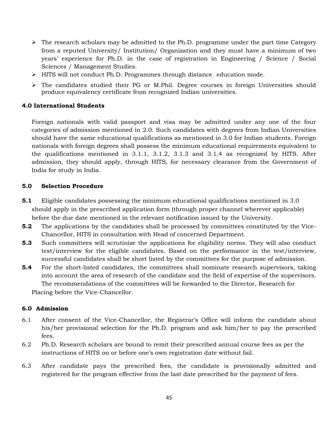- $\triangleright$  The research scholars may be admitted to the Ph.D. programme under the part time Category from a reputed University/ Institution/ Organization and they must have a minimum of two years' experience for Ph.D. in the case of registration in Engineering / Science / Social Sciences / Management Studies.
- > HITS will not conduct Ph.D. Programmes through distance education mode.
- $\triangleright$  The candidates studied their PG or M.Phil. Degree courses in foreign Universities should produce equivalency certificate from recognized Indian universities.

#### **4.0 International Students**

Foreign nationals with valid passport and visa may be admitted under any one of the four categories of admission mentioned in 2.0. Such candidates with degrees from Indian Universities should have the same educational qualifications as mentioned in 3.0 for Indian students. Foreign nationals with foreign degrees shall possess the minimum educational requirements equivalent to the qualifications mentioned in 3.1.1, 3.1.2, 3.1.3 and 3.1.4 as recognized by HITS. After admission, they should apply, through HITS, for necessary clearance from the Government of India for study in India.

#### **5.0 Selection Procedure**

- **5.1** Eligible candidates possessing the minimum educational qualifications mentioned in 3.0 should apply in the prescribed application form (through proper channel wherever applicable) before the due date mentioned in the relevant notification issued by the University.
- **5.2** The applications by the candidates shall be processed by committees constituted by the Vice-Chancellor, HITS in consultation with Head of concerned Department.
- **5.3** Such committees will scrutinize the applications for eligibility norms. They will also conduct test/interview for the eligible candidates. Based on the performance in the test/interview, successful candidates shall be short listed by the committees for the purpose of admission.
- **5.4** For the short-listed candidates, the committees shall nominate research supervisors, taking into account the area of research of the candidate and the field of expertise of the supervisors. The recommendations of the committees will be forwarded to the Director, Research for

Placing before the Vice-Chancellor.

#### **6.0 Admission**

- 6.1 After consent of the Vice-Chancellor, the Registrar's Office will inform the candidate about his/her provisional selection for the Ph.D. program and ask him/her to pay the prescribed fees.
- 6.2 Ph.D. Research scholars are bound to remit their prescribed annual course fees as per the instructions of HITS on or before one's own registration date without fail.
- 6.3 After candidate pays the prescribed fees, the candidate is provisionally admitted and registered for the program effective from the last date prescribed for the payment of fees.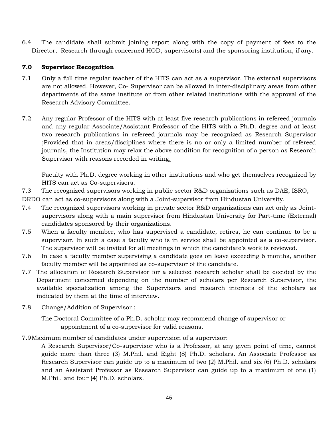6.4 The candidate shall submit joining report along with the copy of payment of fees to the Director, Research through concerned HOD, supervisor(s) and the sponsoring institution, if any.

#### **7.0 Supervisor Recognition**

- 7.1 Only a full time regular teacher of the HITS can act as a supervisor. The external supervisors are not allowed. However, Co- Supervisor can be allowed in inter-disciplinary areas from other departments of the same institute or from other related institutions with the approval of the Research Advisory Committee.
- 7.2 Any regular Professor of the HITS with at least five research publications in refereed journals and any regular Associate/Assistant Professor of the HITS with a Ph.D. degree and at least two research publications in refereed journals may be recognized as Research Supervisor ;Provided that in areas/disciplines where there is no or only a limited number of refereed journals, the Institution may relax the above condition for recognition of a person as Research Supervisor with reasons recorded in writing.

Faculty with Ph.D. degree working in other institutions and who get themselves recognized by HITS can act as Co-supervisors.

7.3 The recognized supervisors working in public sector R&D organizations such as DAE, ISRO,

DRDO can act as co-supervisors along with a Joint-supervisor from Hindustan University.

- 7.4 The recognized supervisors working in private sector R&D organizations can act only as Jointsupervisors along with a main supervisor from Hindustan University for Part-time (External) candidates sponsored by their organizations.
- 7.5 When a faculty member, who has supervised a candidate, retires, he can continue to be a supervisor. In such a case a faculty who is in service shall be appointed as a co-supervisor. The supervisor will be invited for all meetings in which the candidate's work is reviewed.
- 7.6 In case a faculty member supervising a candidate goes on leave exceeding 6 months, another faculty member will be appointed as co-supervisor of the candidate.
- 7.7 The allocation of Research Supervisor for a selected research scholar shall be decided by the Department concerned depending on the number of scholars per Research Supervisor, the available specialization among the Supervisors and research interests of the scholars as indicated by them at the time of interview.
- 7.8 Change/Addition of Supervisor :

The Doctoral Committee of a Ph.D. scholar may recommend change of supervisor or appointment of a co-supervisor for valid reasons.

#### 7.9Maximum number of candidates under supervision of a supervisor:

A Research Supervisor/Co-supervisor who is a Professor, at any given point of time, cannot guide more than three (3) M.Phil. and Eight (8) Ph.D. scholars. An Associate Professor as Research Supervisor can guide up to a maximum of two (2) M.Phil. and six (6) Ph.D. scholars and an Assistant Professor as Research Supervisor can guide up to a maximum of one (1) M.Phil. and four (4) Ph.D. scholars.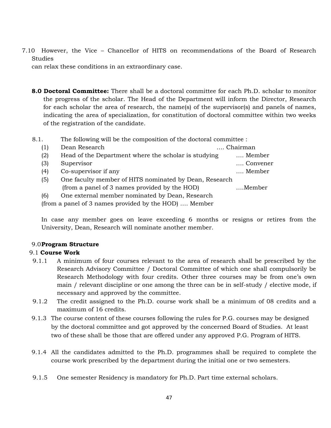7.10 However, the Vice – Chancellor of HITS on recommendations of the Board of Research Studies

can relax these conditions in an extraordinary case.

- **8.0 Doctoral Committee:** There shall be a doctoral committee for each Ph.D. scholar to monitor the progress of the scholar. The Head of the Department will inform the Director, Research for each scholar the area of research, the name(s) of the supervisor(s) and panels of names, indicating the area of specialization, for constitution of doctoral committee within two weeks of the registration of the candidate.
- 8.1. The following will be the composition of the doctoral committee :

| (1) | Dean Research                                          | Chairman |
|-----|--------------------------------------------------------|----------|
| (2) | Head of the Department where the scholar is studying   | Member   |
| (3) | Supervisor                                             | Convener |
| (4) | Co-supervisor if any                                   | Member   |
| (5) | One faculty member of HITS nominated by Dean, Research |          |
|     | (from a panel of 3 names provided by the HOD)          | Member   |
| (6) | One external member nominated by Dean, Research        |          |
|     | (from a panel of 3 names provided by the HOD)  Member  |          |

In case any member goes on leave exceeding 6 months or resigns or retires from the University, Dean, Research will nominate another member.

#### 9.0**Program Structure**

#### 9.1 **Course Work**

- 9.1.1 A minimum of four courses relevant to the area of research shall be prescribed by the Research Advisory Committee / Doctoral Committee of which one shall compulsorily be Research Methodology with four credits. Other three courses may be from one's own main / relevant discipline or one among the three can be in self-study / elective mode, if necessary and approved by the committee.
- 9.1.2 The credit assigned to the Ph.D. course work shall be a minimum of 08 credits and a maximum of 16 credits.
- 9.1.3 The course content of these courses following the rules for P.G. courses may be designed by the doctoral committee and got approved by the concerned Board of Studies. At least two of these shall be those that are offered under any approved P.G. Program of HITS.
- 9.1.4 All the candidates admitted to the Ph.D. programmes shall be required to complete the course work prescribed by the department during the initial one or two semesters.
- 9.1.5 One semester Residency is mandatory for Ph.D. Part time external scholars.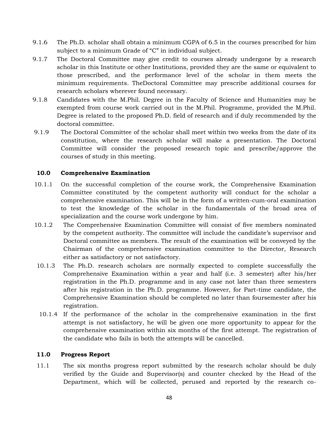- 9.1.6 The Ph.D. scholar shall obtain a minimum CGPA of 6.5 in the courses prescribed for him subject to a minimum Grade of "C" in individual subject.
- 9.1.7 The Doctoral Committee may give credit to courses already undergone by a research scholar in this Institute or other Institutions, provided they are the same or equivalent to those prescribed, and the performance level of the scholar in them meets the minimum requirements. TheDoctoral Committee may prescribe additional courses for research scholars wherever found necessary.
- 9.1.8 Candidates with the M.Phil. Degree in the Faculty of Science and Humanities may be exempted from course work carried out in the M.Phil. Programme, provided the M.Phil. Degree is related to the proposed Ph.D. field of research and if duly recommended by the doctoral committee.
- 9.1.9 The Doctoral Committee of the scholar shall meet within two weeks from the date of its constitution, where the research scholar will make a presentation. The Doctoral Committee will consider the proposed research topic and prescribe/approve the courses of study in this meeting.

#### **10.0 Comprehensive Examination**

- 10.1.1 On the successful completion of the course work, the Comprehensive Examination Committee constituted by the competent authority will conduct for the scholar a comprehensive examination. This will be in the form of a written-cum-oral examination to test the knowledge of the scholar in the fundamentals of the broad area of specialization and the course work undergone by him.
- 10.1.2 The Comprehensive Examination Committee will consist of five members nominated by the competent authority. The committee will include the candidate's supervisor and Doctoral committee as members. The result of the examination will be conveyed by the Chairman of the comprehensive examination committee to the Director, Research either as satisfactory or not satisfactory.
- 10.1.3 The Ph.D. research scholars are normally expected to complete successfully the Comprehensive Examination within a year and half (i.e. 3 semester) after his/her registration in the Ph.D. programme and in any case not later than three semesters after his registration in the Ph.D. programme. However, for Part-time candidate, the Comprehensive Examination should be completed no later than foursemester after his registration.
- 10.1.4 If the performance of the scholar in the comprehensive examination in the first attempt is not satisfactory, he will be given one more opportunity to appear for the comprehensive examination within six months of the first attempt. The registration of the candidate who fails in both the attempts will be cancelled.

#### **11.0 Progress Report**

11.1 The six months progress report submitted by the research scholar should be duly verified by the Guide and Supervisor(s) and counter checked by the Head of the Department, which will be collected, perused and reported by the research co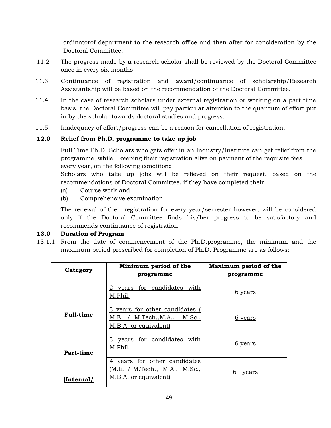ordinatorof department to the research office and then after for consideration by the Doctoral Committee.

- 11.2 The progress made by a research scholar shall be reviewed by the Doctoral Committee once in every six months.
- 11.3 Continuance of registration and award/continuance of scholarship/Research Assistantship will be based on the recommendation of the Doctoral Committee.
- 11.4 In the case of research scholars under external registration or working on a part time basis, the Doctoral Committee will pay particular attention to the quantum of effort put in by the scholar towards doctoral studies and progress.
- 11.5 Inadequacy of effort/progress can be a reason for cancellation of registration.

# **12.0 Relief from Ph.D. programme to take up job**

Full Time Ph.D. Scholars who gets offer in an Industry/Institute can get relief from the programme, while keeping their registration alive on payment of the requisite fees every year, on the following condition**:** 

Scholars who take up jobs will be relieved on their request, based on the recommendations of Doctoral Committee, if they have completed their:

- (a) Course work and
- (b) Comprehensive examination.

The renewal of their registration for every year/semester however, will be considered only if the Doctoral Committee finds his/her progress to be satisfactory and recommends continuance of registration.

#### **13.0 Duration of Program**

13.1.1 From the date of commencement of the Ph.D.programme, the minimum and the maximum period prescribed for completion of Ph.D. Programme are as follows:

| Category         | Minimum period of the<br>programme                                                           | Maximum period of the<br>programme |
|------------------|----------------------------------------------------------------------------------------------|------------------------------------|
|                  | for candidates<br>with<br>years<br>M.Phil.                                                   | 6 years                            |
| <b>Full-time</b> | 3 years for other candidates<br>M.Tech., M.A., M.Sc.,<br>$M.E.$ /<br>M.B.A. or equivalent    | 6 years                            |
| Part-time        | З<br>for candidates<br>with<br>vears<br>M.Phil.                                              | 6 years                            |
| Internal/        | years for other candidates<br>4<br>M.Tech., M.A., M.Sc.,<br>(M.E. /<br>M.B.A. or equivalent) | 6<br>years                         |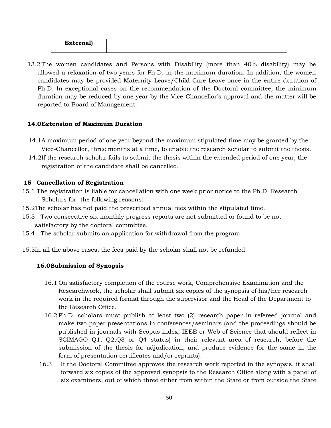| <b>TALLA</b><br>LX |  |
|--------------------|--|
|                    |  |

13.2 The women candidates and Persons with Disability (more than 40% disability) may be allowed a relaxation of two years for Ph.D. in the maximum duration. In addition, the women candidates may be provided Maternity Leave/Child Care Leave once in the entire duration of Ph.D. In exceptional cases on the recommendation of the Doctoral committee, the minimum duration may be reduced by one year by the Vice-Chancellor's approval and the matter will be reported to Board of Management.

#### **14.0Extension of Maximum Duration**

- 14.1A maximum period of one year beyond the maximum stipulated time may be granted by the Vice-Chancellor, three months at a time, to enable the research scholar to submit the thesis.
- 14.2If the research scholar fails to submit the thesis within the extended period of one year, the registration of the candidate shall be cancelled.

#### **15 Cancellation of Registration**

- 15.1 The registration is liable for cancellation with one week prior notice to the Ph.D. Research Scholars for the following reasons:
- 15.2The scholar has not paid the prescribed annual fees within the stipulated time.
- 15.3 Two consecutive six monthly progress reports are not submitted or found to be not satisfactory by the doctoral committee.
- 15.4 The scholar submits an application for withdrawal from the program.

15.5In all the above cases, the fees paid by the scholar shall not be refunded.

#### **16.0Submission of Synopsis**

- 16.1 On satisfactory completion of the course work, Comprehensive Examination and the Researchwork, the scholar shall submit six copies of the synopsis of his/her research work in the required format through the supervisor and the Head of the Department to the Research Office.
- 16.2 Ph.D. scholars must publish at least two (2) research paper in refereed journal and make two paper presentations in conferences/seminars (and the proceedings should be published in journals with Scopus index, IEEE or Web of Science that should reflect in SCIMAGO Q1, Q2,Q3 or Q4 status) in their relevant area of research, before the submission of the thesis for adjudication, and produce evidence for the same in the form of presentation certificates and/or reprints).
- 16.3 If the Doctoral Committee approves the research work reported in the synopsis, it shall forward six copies of the approved synopsis to the Research Office along with a panel of six examiners, out of which three either from within the State or from outside the State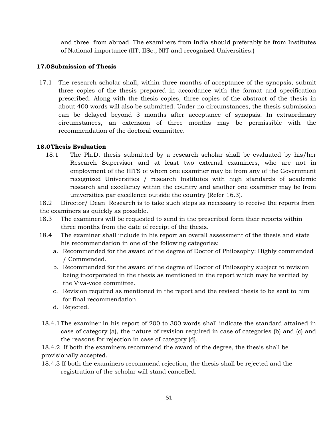and three from abroad. The examiners from India should preferably be from Institutes of National importance (IIT, IISc., NIT and recognized Universities.)

#### **17.0Submission of Thesis**

17.1 The research scholar shall, within three months of acceptance of the synopsis, submit three copies of the thesis prepared in accordance with the format and specification prescribed. Along with the thesis copies, three copies of the abstract of the thesis in about 400 words will also be submitted. Under no circumstances, the thesis submission can be delayed beyond 3 months after acceptance of synopsis. In extraordinary circumstances, an extension of three months may be permissible with the recommendation of the doctoral committee.

#### **18.0Thesis Evaluation**

18.1 The Ph.D. thesis submitted by a research scholar shall be evaluated by his/her Research Supervisor and at least two external examiners, who are not in employment of the HITS of whom one examiner may be from any of the Government recognized Universities / research Institutes with high standards of academic research and excellency within the country and another one examiner may be from universities par excellence outside the country (Refer 16.3).

18.2 Director/ Dean Research is to take such steps as necessary to receive the reports from the examiners as quickly as possible.

- 18.3 The examiners will be requested to send in the prescribed form their reports within three months from the date of receipt of the thesis.
- 18.4 The examiner shall include in his report an overall assessment of the thesis and state his recommendation in one of the following categories:
	- a. Recommended for the award of the degree of Doctor of Philosophy: Highly commended / Commended.
	- b. Recommended for the award of the degree of Doctor of Philosophy subject to revision being incorporated in the thesis as mentioned in the report which may be verified by the Viva-voce committee.
	- c. Revision required as mentioned in the report and the revised thesis to be sent to him for final recommendation.
	- d. Rejected.
- 18.4.1The examiner in his report of 200 to 300 words shall indicate the standard attained in case of category (a), the nature of revision required in case of categories (b) and (c) and the reasons for rejection in case of category (d).

18.4.2 If both the examiners recommend the award of the degree, the thesis shall be provisionally accepted.

18.4.3 If both the examiners recommend rejection, the thesis shall be rejected and the registration of the scholar will stand cancelled.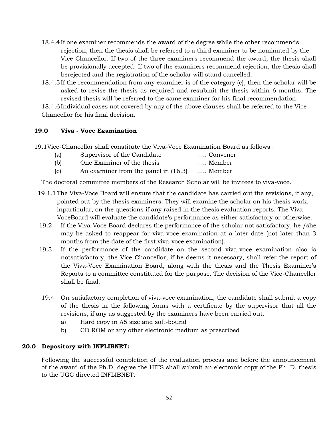- 18.4.4If one examiner recommends the award of the degree while the other recommends rejection, then the thesis shall be referred to a third examiner to be nominated by the Vice-Chancellor. If two of the three examiners recommend the award, the thesis shall be provisionally accepted. If two of the examiners recommend rejection, the thesis shall berejected and the registration of the scholar will stand cancelled.
- 18.4.5If the recommendation from any examiner is of the category (c), then the scholar will be asked to revise the thesis as required and resubmit the thesis within 6 months. The revised thesis will be referred to the same examiner for his final recommendation.

18.4.6Individual cases not covered by any of the above clauses shall be referred to the Vice-Chancellor for his final decision.

#### **19.0 Viva - Voce Examination**

19.1Vice-Chancellor shall constitute the Viva-Voce Examination Board as follows :

| (a) | Supervisor of the Candidate          | Convener |
|-----|--------------------------------------|----------|
| (b) | One Examiner of the thesis           | Member   |
| (c) | An examiner from the panel in (16.3) | Member   |

The doctoral committee members of the Research Scholar will be invitees to viva-voce.

- 19.1.1The Viva-Voce Board will ensure that the candidate has carried out the revisions, if any, pointed out by the thesis examiners. They will examine the scholar on his thesis work, inparticular, on the questions if any raised in the thesis evaluation reports. The Viva-VoceBoard will evaluate the candidate's performance as either satisfactory or otherwise.
- 19.2 If the Viva-Voce Board declares the performance of the scholar not satisfactory, he /she may be asked to reappear for viva-voce examination at a later date (not later than 3 months from the date of the first viva-voce examination).
- 19.3 If the performance of the candidate on the second viva-voce examination also is notsatisfactory, the Vice-Chancellor, if he deems it necessary, shall refer the report of the Viva-Voce Examination Board, along with the thesis and the Thesis Examiner's Reports to a committee constituted for the purpose. The decision of the Vice-Chancellor shall be final.
- 19.4 On satisfactory completion of viva-voce examination, the candidate shall submit a copy of the thesis in the following forms with a certificate by the supervisor that all the revisions, if any as suggested by the examiners have been carried out.
	- a) Hard copy in A5 size and soft-bound
	- b) CD ROM or any other electronic medium as prescribed

#### **20.0 Depository with INFLIBNET:**

Following the successful completion of the evaluation process and before the announcement of the award of the Ph.D. degree the HITS shall submit an electronic copy of the Ph. D. thesis to the UGC directed INFLIBNET.